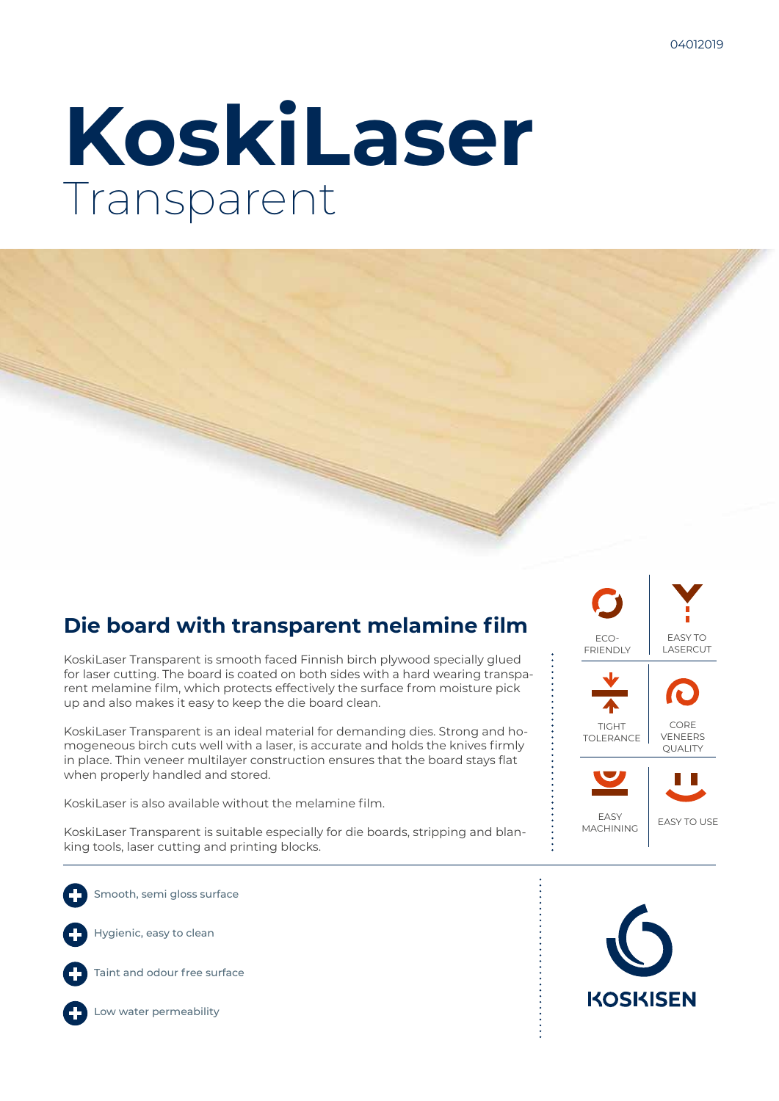# **KoskiLaser** Transparent

# **Die board with transparent melamine film**

KoskiLaser Transparent is smooth faced Finnish birch plywood specially glued for laser cutting. The board is coated on both sides with a hard wearing transparent melamine film, which protects effectively the surface from moisture pick up and also makes it easy to keep the die board clean.

KoskiLaser Transparent is an ideal material for demanding dies. Strong and homogeneous birch cuts well with a laser, is accurate and holds the knives firmly in place. Thin veneer multilayer construction ensures that the board stays flat when properly handled and stored.

KoskiLaser is also available without the melamine film.

KoskiLaser Transparent is suitable especially for die boards, stripping and blanking tools, laser cutting and printing blocks.

Smooth, semi gloss surface

Hygienic, easy to clean



Taint and odour free surface





Low water permeability